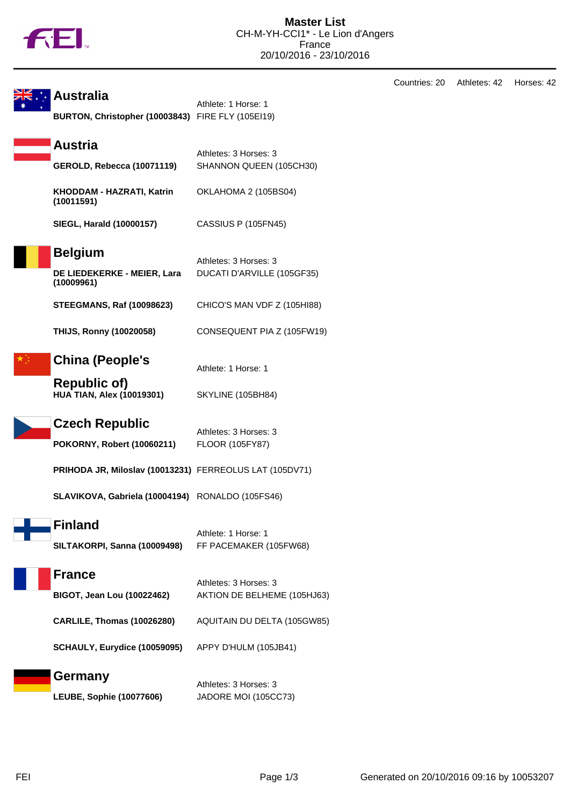

| <b>Australia</b><br>BURTON, Christopher (10003843) FIRE FLY (105El19) | Athlete: 1 Horse: 1                                  |
|-----------------------------------------------------------------------|------------------------------------------------------|
| <b>Austria</b><br><b>GEROLD, Rebecca (10071119)</b>                   | Athletes: 3 Horses: 3<br>SHANNON QUEEN (105CH30)     |
| KHODDAM - HAZRATI, Katrin<br>(10011591)                               | OKLAHOMA 2 (105BS04)                                 |
| <b>SIEGL, Harald (10000157)</b>                                       | CASSIUS P (105FN45)                                  |
| <b>Belgium</b><br>DE LIEDEKERKE - MEIER, Lara<br>(10009961)           | Athletes: 3 Horses: 3<br>DUCATI D'ARVILLE (105GF35)  |
| <b>STEEGMANS, Raf (10098623)</b>                                      | CHICO'S MAN VDF Z (105HI88)                          |
| <b>THIJS, Ronny (10020058)</b>                                        | CONSEQUENT PIA Z (105FW19)                           |
| <b>China (People's</b>                                                | Athlete: 1 Horse: 1                                  |
| <b>Republic of)</b><br><b>HUA TIAN, Alex (10019301)</b>               | SKYLINE (105BH84)                                    |
| <b>Czech Republic</b><br><b>POKORNY, Robert (10060211)</b>            | Athletes: 3 Horses: 3<br>FLOOR (105FY87)             |
| PRIHODA JR, Miloslav (10013231) FERREOLUS LAT (105DV71)               |                                                      |
| SLAVIKOVA, Gabriela (10004194) RONALDO (105FS46)                      |                                                      |
| <b>Finland</b><br>SILTAKORPI, Sanna (10009498)                        | Athlete: 1 Horse: 1<br>FF PACEMAKER (105FW68)        |
| <b>France</b><br><b>BIGOT, Jean Lou (10022462)</b>                    | Athletes: 3 Horses: 3<br>AKTION DE BELHEME (105HJ63) |
| <b>CARLILE, Thomas (10026280)</b>                                     | AQUITAIN DU DELTA (105GW85)                          |
| SCHAULY, Eurydice (10059095)                                          | APPY D'HULM (105JB41)                                |
| Germany<br><b>LEUBE, Sophie (10077606)</b>                            | Athletes: 3 Horses: 3<br>JADORE MOI (105CC73)        |

Countries: 20 Athletes: 42 Horses: 42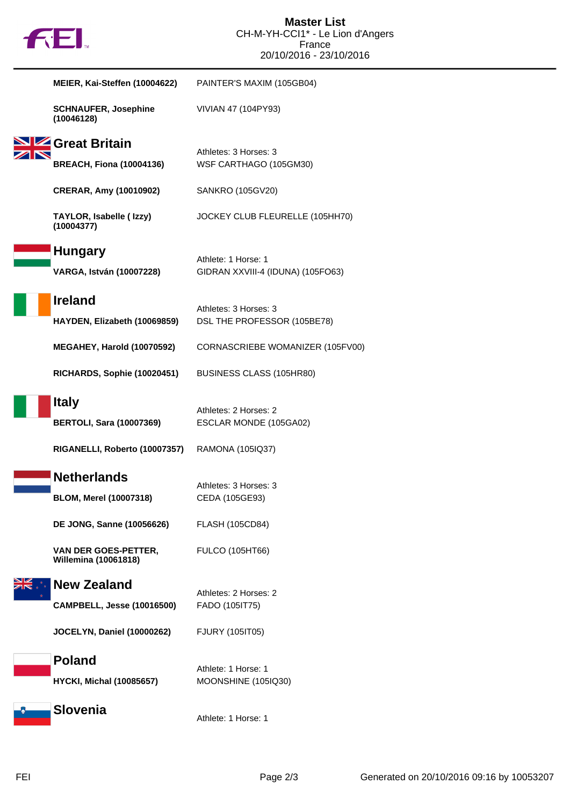

| MEIER, Kai-Steffen (10004622)                              | PAINTER'S MAXIM (105GB04)                       |
|------------------------------------------------------------|-------------------------------------------------|
| <b>SCHNAUFER, Josephine</b><br>(10046128)                  | VIVIAN 47 (104PY93)                             |
| Great Britain                                              |                                                 |
| <b>BREACH, Fiona (10004136)</b>                            | Athletes: 3 Horses: 3<br>WSF CARTHAGO (105GM30) |
| <b>CRERAR, Amy (10010902)</b>                              | SANKRO (105GV20)                                |
| TAYLOR, Isabelle (Izzy)<br>(10004377)                      | JOCKEY CLUB FLEURELLE (105HH70)                 |
| <b>Hungary</b>                                             | Athlete: 1 Horse: 1                             |
| <b>VARGA, István (10007228)</b>                            | GIDRAN XXVIII-4 (IDUNA) (105FO63)               |
| <b>Ireland</b>                                             | Athletes: 3 Horses: 3                           |
| HAYDEN, Elizabeth (10069859)                               | DSL THE PROFESSOR (105BE78)                     |
| MEGAHEY, Harold (10070592)                                 | CORNASCRIEBE WOMANIZER (105FV00)                |
| <b>RICHARDS, Sophie (10020451)</b>                         | BUSINESS CLASS (105HR80)                        |
| <b>Italy</b>                                               |                                                 |
| <b>BERTOLI, Sara (10007369)</b>                            | Athletes: 2 Horses: 2<br>ESCLAR MONDE (105GA02) |
| RIGANELLI, Roberto (10007357)                              | RAMONA (105IQ37)                                |
| <b>Netherlands</b>                                         |                                                 |
| <b>BLOM, Merel (10007318)</b>                              | Athletes: 3 Horses: 3<br>CEDA (105GE93)         |
| <b>DE JONG, Sanne (10056626)</b>                           | FLASH (105CD84)                                 |
| <b>VAN DER GOES-PETTER,</b><br><b>Willemina (10061818)</b> | <b>FULCO (105HT66)</b>                          |
| <b>New Zealand</b>                                         |                                                 |
| <b>CAMPBELL, Jesse (10016500)</b>                          | Athletes: 2 Horses: 2<br>FADO (1051T75)         |
| <b>JOCELYN, Daniel (10000262)</b>                          | FJURY (1051T05)                                 |
| <b>Poland</b>                                              |                                                 |
| <b>HYCKI, Michal (10085657)</b>                            | Athlete: 1 Horse: 1<br>MOONSHINE (105IQ30)      |
|                                                            |                                                 |
| <b>Slovenia</b>                                            | Athlete: 1 Horse: 1                             |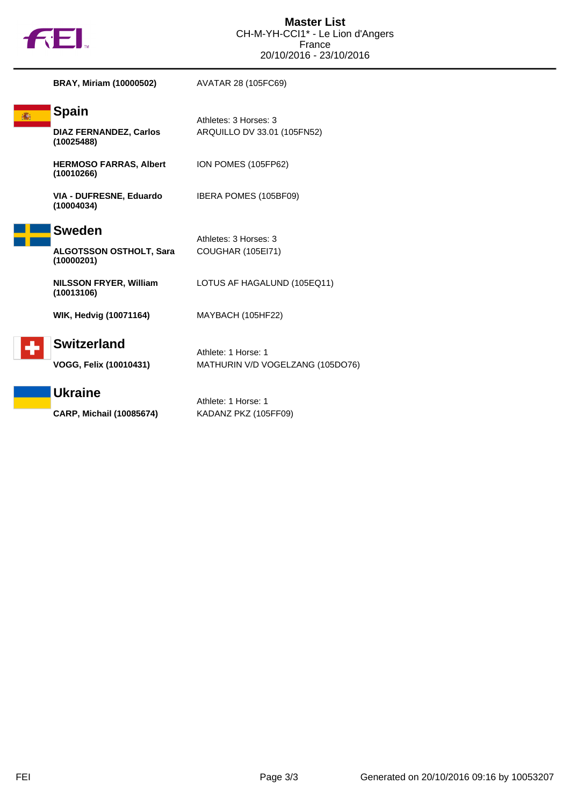

| <b>BRAY, Miriam (10000502)</b>                                | AVATAR 28 (105FC69)                                     |
|---------------------------------------------------------------|---------------------------------------------------------|
| <b>Spain</b><br><b>DIAZ FERNANDEZ, Carlos</b><br>(10025488)   | Athletes: 3 Horses: 3<br>ARQUILLO DV 33.01 (105FN52)    |
| <b>HERMOSO FARRAS, Albert</b><br>(10010266)                   | ION POMES (105FP62)                                     |
| VIA - DUFRESNE, Eduardo<br>(10004034)                         | IBERA POMES (105BF09)                                   |
| <b>Sweden</b><br><b>ALGOTSSON OSTHOLT, Sara</b><br>(10000201) | Athletes: 3 Horses: 3<br>COUGHAR (105EI71)              |
| <b>NILSSON FRYER, William</b><br>(10013106)                   | LOTUS AF HAGALUND (105EQ11)                             |
| <b>WIK, Hedvig (10071164)</b>                                 | MAYBACH (105HF22)                                       |
| <b>Switzerland</b><br>VOGG, Felix (10010431)                  | Athlete: 1 Horse: 1<br>MATHURIN V/D VOGELZANG (105DO76) |
| <b>Ukraine</b><br><b>CARP, Michail (10085674)</b>             | Athlete: 1 Horse: 1<br>KADANZ PKZ (105FF09)             |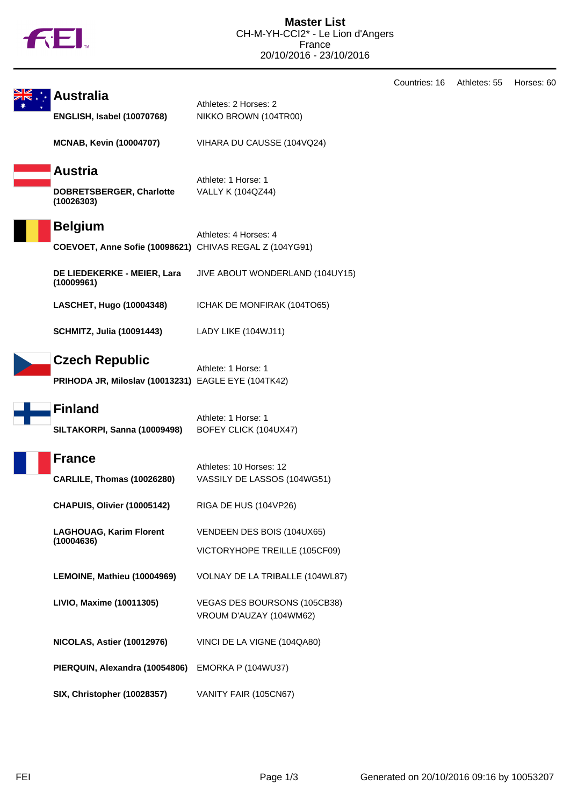

|                                                       |                                                                              |                                                             | Countries: 16 | Athletes: 55 | Horses: 60 |
|-------------------------------------------------------|------------------------------------------------------------------------------|-------------------------------------------------------------|---------------|--------------|------------|
| <b>Australia</b><br><b>ENGLISH, Isabel (10070768)</b> |                                                                              | Athletes: 2 Horses: 2<br>NIKKO BROWN (104TR00)              |               |              |            |
|                                                       | <b>MCNAB, Kevin (10004707)</b>                                               | VIHARA DU CAUSSE (104VQ24)                                  |               |              |            |
|                                                       | <b>Austria</b><br>DOBRETSBERGER, Charlotte<br>(10026303)                     | Athlete: 1 Horse: 1<br>VALLY K (104QZ44)                    |               |              |            |
|                                                       | <b>Belgium</b><br>COEVOET, Anne Sofie (10098621) CHIVAS REGAL Z (104YG91)    | Athletes: 4 Horses: 4                                       |               |              |            |
|                                                       | DE LIEDEKERKE - MEIER, Lara<br>(10009961)                                    | JIVE ABOUT WONDERLAND (104UY15)                             |               |              |            |
|                                                       | LASCHET, Hugo (10004348)                                                     | ICHAK DE MONFIRAK (104TO65)                                 |               |              |            |
|                                                       | <b>SCHMITZ, Julia (10091443)</b>                                             | LADY LIKE (104WJ11)                                         |               |              |            |
|                                                       | <b>Czech Republic</b><br>PRIHODA JR, Miloslav (10013231) EAGLE EYE (104TK42) | Athlete: 1 Horse: 1                                         |               |              |            |
|                                                       | <b>Finland</b><br>SILTAKORPI, Sanna (10009498)                               | Athlete: 1 Horse: 1<br>BOFEY CLICK (104UX47)                |               |              |            |
|                                                       | <b>France</b><br><b>CARLILE, Thomas (10026280)</b>                           | Athletes: 10 Horses: 12<br>VASSILY DE LASSOS (104WG51)      |               |              |            |
|                                                       | CHAPUIS, Olivier (10005142)                                                  | RIGA DE HUS (104VP26)                                       |               |              |            |
|                                                       | <b>LAGHOUAG, Karim Florent</b><br>(10004636)                                 | VENDEEN DES BOIS (104UX65)<br>VICTORYHOPE TREILLE (105CF09) |               |              |            |
|                                                       | LEMOINE, Mathieu (10004969)                                                  | VOLNAY DE LA TRIBALLE (104WL87)                             |               |              |            |
|                                                       | LIVIO, Maxime (10011305)                                                     | VEGAS DES BOURSONS (105CB38)<br>VROUM D'AUZAY (104WM62)     |               |              |            |
|                                                       | <b>NICOLAS, Astier (10012976)</b>                                            | VINCI DE LA VIGNE (104QA80)                                 |               |              |            |
|                                                       | PIERQUIN, Alexandra (10054806)                                               | EMORKA P (104WU37)                                          |               |              |            |
|                                                       | <b>SIX, Christopher (10028357)</b>                                           | VANITY FAIR (105CN67)                                       |               |              |            |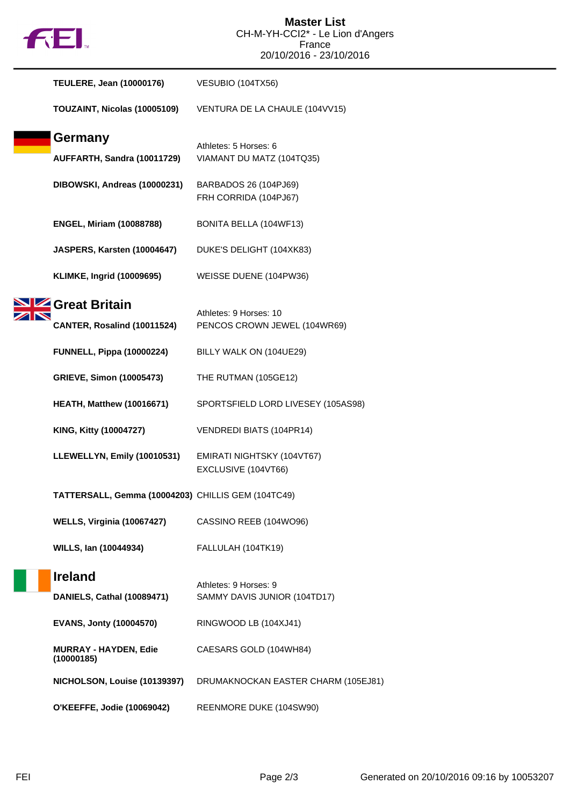

| <b>TEULERE, Jean (10000176)</b>                    | VESUBIO (104TX56)                                      |
|----------------------------------------------------|--------------------------------------------------------|
| TOUZAINT, Nicolas (10005109)                       | VENTURA DE LA CHAULE (104VV15)                         |
| <b>Germany</b><br>AUFFARTH, Sandra (10011729)      | Athletes: 5 Horses: 6<br>VIAMANT DU MATZ (104TQ35)     |
| DIBOWSKI, Andreas (10000231)                       | BARBADOS 26 (104PJ69)<br>FRH CORRIDA (104PJ67)         |
| <b>ENGEL, Miriam (10088788)</b>                    | BONITA BELLA (104WF13)                                 |
| JASPERS, Karsten (10004647)                        | DUKE'S DELIGHT (104XK83)                               |
| <b>KLIMKE, Ingrid (10009695)</b>                   | WEISSE DUENE (104PW36)                                 |
| Great Britain<br>CANTER, Rosalind (10011524)       | Athletes: 9 Horses: 10<br>PENCOS CROWN JEWEL (104WR69) |
| <b>FUNNELL, Pippa (10000224)</b>                   | BILLY WALK ON (104UE29)                                |
| <b>GRIEVE, Simon (10005473)</b>                    | THE RUTMAN (105GE12)                                   |
| <b>HEATH, Matthew (10016671)</b>                   | SPORTSFIELD LORD LIVESEY (105AS98)                     |
| KING, Kitty (10004727)                             | VENDREDI BIATS (104PR14)                               |
| LLEWELLYN, Emily (10010531)                        | EMIRATI NIGHTSKY (104VT67)<br>EXCLUSIVE (104VT66)      |
| TATTERSALL, Gemma (10004203) CHILLIS GEM (104TC49) |                                                        |
| <b>WELLS, Virginia (10067427)</b>                  | CASSINO REEB (104WO96)                                 |
| WILLS, Ian (10044934)                              | FALLULAH (104TK19)                                     |
| <b>Ireland</b><br>DANIELS, Cathal (10089471)       | Athletes: 9 Horses: 9<br>SAMMY DAVIS JUNIOR (104TD17)  |
| <b>EVANS, Jonty (10004570)</b>                     | RINGWOOD LB (104XJ41)                                  |
| <b>MURRAY - HAYDEN, Edie</b><br>(10000185)         | CAESARS GOLD (104WH84)                                 |
| NICHOLSON, Louise (10139397)                       | DRUMAKNOCKAN EASTER CHARM (105EJ81)                    |
| O'KEEFFE, Jodie (10069042)                         | REENMORE DUKE (104SW90)                                |